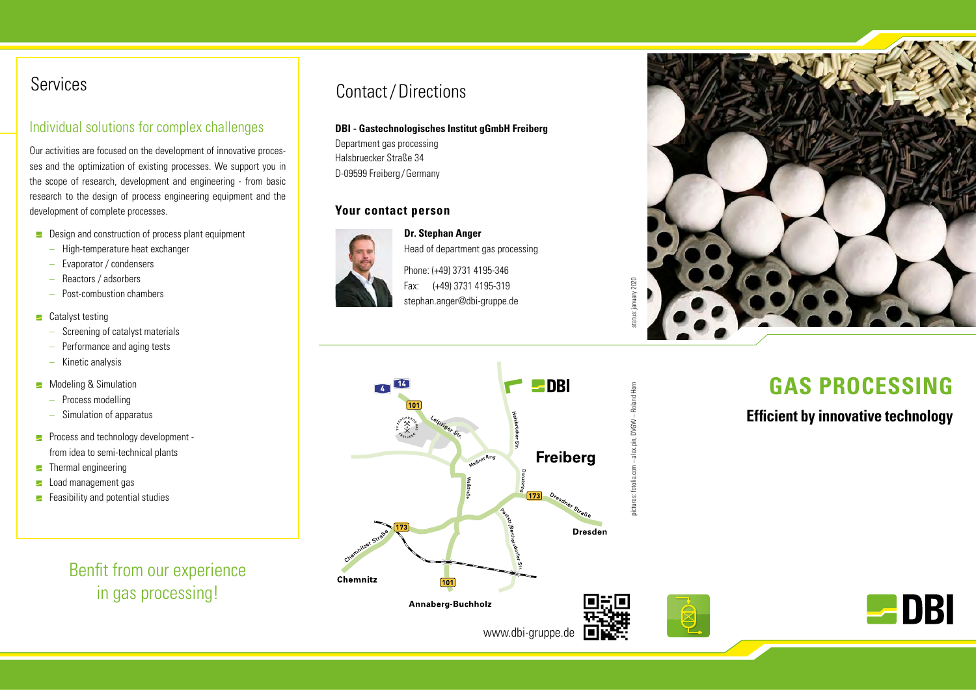## Services

## Individual solutions for complex challenges

Our activities are focused on the development of innovative processes and the optimization of existing processes. We support you in the scope of research, development and engineering - from basic research to the design of process engineering equipment and the development of complete processes.

- $\blacksquare$  Design and construction of process plant equipment
	- High-temperature heat exchanger
	- Evaporator / condensers
	- Reactors / adsorbers
	- Post-combustion chambers
- $\blacksquare$  Catalyst testing
	- Screening of catalyst materials
	- Performance and aging tests
	- Kinetic analysis
- **E** Modeling & Simulation
	- Process modelling
	- Simulation of apparatus
- **Process and technology development** from idea to semi-technical plants
- $\blacksquare$  Thermal engineering
- **L** Load management gas
- $\blacksquare$  Feasibility and potential studies

Benfit from our experience in gas processing!

## Contact/Directions

#### **DBI - Gastechnologisches Institut gGmbH Freiberg**

Department gas processing Halsbruecker Straße 34 D-09599 Freiberg / Germany

#### **Your contact person**



**Dr. Stephan Anger** Head of department gas processing

Phone: (+49) 3731 4195-346 Fax: (+49) 3731 4195-319 stephan.anger@dbi-gruppe.de



# **GAS PROCESSING**

**Efficient by innovative technology**